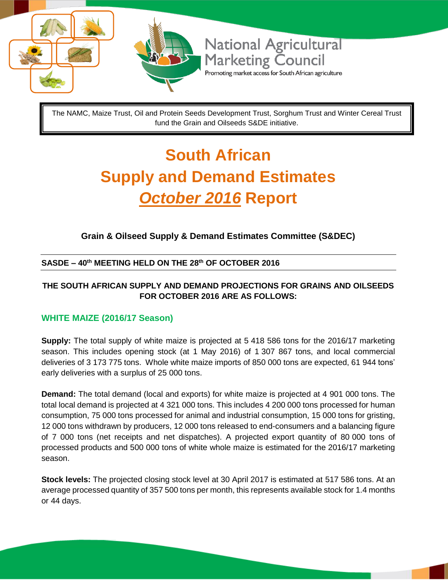

The NAMC, Maize Trust, Oil and Protein Seeds Development Trust, Sorghum Trust and Winter Cereal Trust fund the Grain and Oilseeds S&DE initiative.

# **South African Supply and Demand Estimates**  *October 2016* **Report**

### **Grain & Oilseed Supply & Demand Estimates Committee (S&DEC)**

#### **SASDE – 40th MEETING HELD ON THE 28th OF OCTOBER 2016**

#### **THE SOUTH AFRICAN SUPPLY AND DEMAND PROJECTIONS FOR GRAINS AND OILSEEDS FOR OCTOBER 2016 ARE AS FOLLOWS:**

#### **WHITE MAIZE (2016/17 Season)**

**Supply:** The total supply of white maize is projected at 5 418 586 tons for the 2016/17 marketing season. This includes opening stock (at 1 May 2016) of 1 307 867 tons, and local commercial deliveries of 3 173 775 tons. Whole white maize imports of 850 000 tons are expected, 61 944 tons' early deliveries with a surplus of 25 000 tons.

**Demand:** The total demand (local and exports) for white maize is projected at 4 901 000 tons. The total local demand is projected at 4 321 000 tons. This includes 4 200 000 tons processed for human consumption, 75 000 tons processed for animal and industrial consumption, 15 000 tons for gristing, 12 000 tons withdrawn by producers, 12 000 tons released to end-consumers and a balancing figure of 7 000 tons (net receipts and net dispatches). A projected export quantity of 80 000 tons of processed products and 500 000 tons of white whole maize is estimated for the 2016/17 marketing season.

**Stock levels:** The projected closing stock level at 30 April 2017 is estimated at 517 586 tons. At an average processed quantity of 357 500 tons per month, this represents available stock for 1.4 months or 44 days.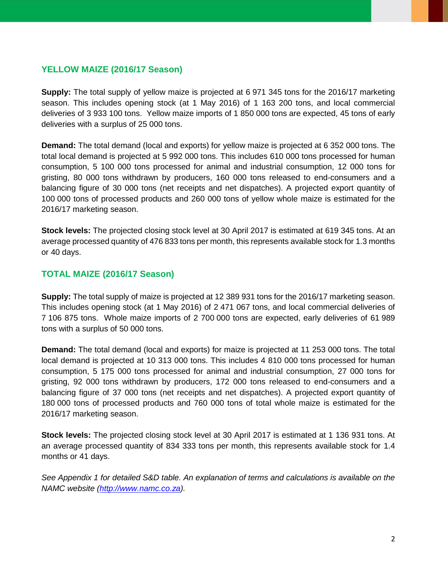#### **YELLOW MAIZE (2016/17 Season)**

**Supply:** The total supply of yellow maize is projected at 6 971 345 tons for the 2016/17 marketing season. This includes opening stock (at 1 May 2016) of 1 163 200 tons, and local commercial deliveries of 3 933 100 tons. Yellow maize imports of 1 850 000 tons are expected, 45 tons of early deliveries with a surplus of 25 000 tons.

**Demand:** The total demand (local and exports) for yellow maize is projected at 6 352 000 tons. The total local demand is projected at 5 992 000 tons. This includes 610 000 tons processed for human consumption, 5 100 000 tons processed for animal and industrial consumption, 12 000 tons for gristing, 80 000 tons withdrawn by producers, 160 000 tons released to end-consumers and a balancing figure of 30 000 tons (net receipts and net dispatches). A projected export quantity of 100 000 tons of processed products and 260 000 tons of yellow whole maize is estimated for the 2016/17 marketing season.

**Stock levels:** The projected closing stock level at 30 April 2017 is estimated at 619 345 tons. At an average processed quantity of 476 833 tons per month, this represents available stock for 1.3 months or 40 days.

#### **TOTAL MAIZE (2016/17 Season)**

**Supply:** The total supply of maize is projected at 12 389 931 tons for the 2016/17 marketing season. This includes opening stock (at 1 May 2016) of 2 471 067 tons, and local commercial deliveries of 7 106 875 tons. Whole maize imports of 2 700 000 tons are expected, early deliveries of 61 989 tons with a surplus of 50 000 tons.

**Demand:** The total demand (local and exports) for maize is projected at 11 253 000 tons. The total local demand is projected at 10 313 000 tons. This includes 4 810 000 tons processed for human consumption, 5 175 000 tons processed for animal and industrial consumption, 27 000 tons for gristing, 92 000 tons withdrawn by producers, 172 000 tons released to end-consumers and a balancing figure of 37 000 tons (net receipts and net dispatches). A projected export quantity of 180 000 tons of processed products and 760 000 tons of total whole maize is estimated for the 2016/17 marketing season.

**Stock levels:** The projected closing stock level at 30 April 2017 is estimated at 1 136 931 tons. At an average processed quantity of 834 333 tons per month, this represents available stock for 1.4 months or 41 days.

*See Appendix 1 for detailed S&D table. An explanation of terms and calculations is available on the NAMC website [\(http://www.namc.co.za\)](http://www.namc.co.za/).*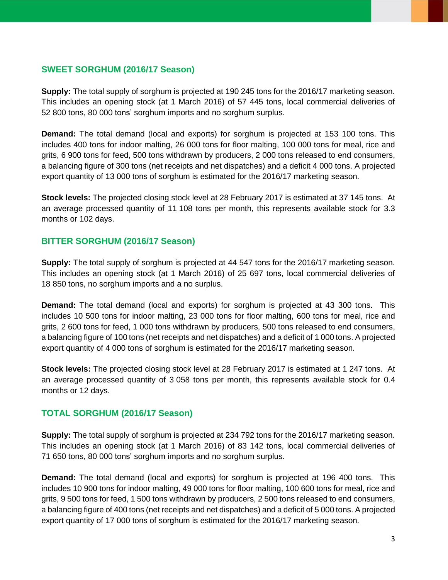#### **SWEET SORGHUM (2016/17 Season)**

**Supply:** The total supply of sorghum is projected at 190 245 tons for the 2016/17 marketing season. This includes an opening stock (at 1 March 2016) of 57 445 tons, local commercial deliveries of 52 800 tons, 80 000 tons' sorghum imports and no sorghum surplus.

**Demand:** The total demand (local and exports) for sorghum is projected at 153 100 tons. This includes 400 tons for indoor malting, 26 000 tons for floor malting, 100 000 tons for meal, rice and grits, 6 900 tons for feed, 500 tons withdrawn by producers, 2 000 tons released to end consumers, a balancing figure of 300 tons (net receipts and net dispatches) and a deficit 4 000 tons. A projected export quantity of 13 000 tons of sorghum is estimated for the 2016/17 marketing season.

**Stock levels:** The projected closing stock level at 28 February 2017 is estimated at 37 145 tons. At an average processed quantity of 11 108 tons per month, this represents available stock for 3.3 months or 102 days.

#### **BITTER SORGHUM (2016/17 Season)**

**Supply:** The total supply of sorghum is projected at 44 547 tons for the 2016/17 marketing season. This includes an opening stock (at 1 March 2016) of 25 697 tons, local commercial deliveries of 18 850 tons, no sorghum imports and a no surplus.

**Demand:** The total demand (local and exports) for sorghum is projected at 43 300 tons. This includes 10 500 tons for indoor malting, 23 000 tons for floor malting, 600 tons for meal, rice and grits, 2 600 tons for feed, 1 000 tons withdrawn by producers, 500 tons released to end consumers, a balancing figure of 100 tons (net receipts and net dispatches) and a deficit of 1 000 tons. A projected export quantity of 4 000 tons of sorghum is estimated for the 2016/17 marketing season.

**Stock levels:** The projected closing stock level at 28 February 2017 is estimated at 1 247 tons. At an average processed quantity of 3 058 tons per month, this represents available stock for 0.4 months or 12 days.

#### **TOTAL SORGHUM (2016/17 Season)**

**Supply:** The total supply of sorghum is projected at 234 792 tons for the 2016/17 marketing season. This includes an opening stock (at 1 March 2016) of 83 142 tons, local commercial deliveries of 71 650 tons, 80 000 tons' sorghum imports and no sorghum surplus.

**Demand:** The total demand (local and exports) for sorghum is projected at 196 400 tons. This includes 10 900 tons for indoor malting, 49 000 tons for floor malting, 100 600 tons for meal, rice and grits, 9 500 tons for feed, 1 500 tons withdrawn by producers, 2 500 tons released to end consumers, a balancing figure of 400 tons (net receipts and net dispatches) and a deficit of 5 000 tons. A projected export quantity of 17 000 tons of sorghum is estimated for the 2016/17 marketing season.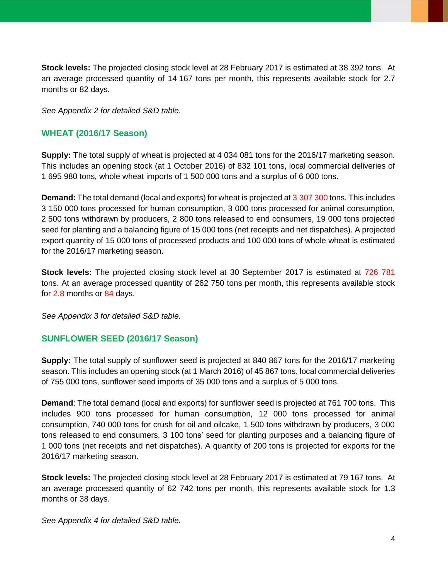**Stock levels:** The projected closing stock level at 28 February 2017 is estimated at 38 392 tons. At an average processed quantity of 14 167 tons per month, this represents available stock for 2.7 months or 82 days.

*See Appendix 2 for detailed S&D table.*

#### **WHEAT (2016/17 Season)**

**Supply:** The total supply of wheat is projected at 4 034 081 tons for the 2016/17 marketing season. This includes an opening stock (at 1 October 2016) of 832 101 tons, local commercial deliveries of 1 695 980 tons, whole wheat imports of 1 500 000 tons and a surplus of 6 000 tons.

**Demand:** The total demand (local and exports) for wheat is projected at 3 307 300 tons. This includes 3 150 000 tons processed for human consumption, 3 000 tons processed for animal consumption, 2 500 tons withdrawn by producers, 2 800 tons released to end consumers, 19 000 tons projected seed for planting and a balancing figure of 15 000 tons (net receipts and net dispatches). A projected export quantity of 15 000 tons of processed products and 100 000 tons of whole wheat is estimated for the 2016/17 marketing season.

**Stock levels:** The projected closing stock level at 30 September 2017 is estimated at 726 781 tons. At an average processed quantity of 262 750 tons per month, this represents available stock for 2.8 months or 84 days.

*See Appendix 3 for detailed S&D table.*

#### **SUNFLOWER SEED (2016/17 Season)**

**Supply:** The total supply of sunflower seed is projected at 840 867 tons for the 2016/17 marketing season. This includes an opening stock (at 1 March 2016) of 45 867 tons, local commercial deliveries of 755 000 tons, sunflower seed imports of 35 000 tons and a surplus of 5 000 tons.

**Demand**: The total demand (local and exports) for sunflower seed is projected at 761 700 tons. This includes 900 tons processed for human consumption, 12 000 tons processed for animal consumption, 740 000 tons for crush for oil and oilcake, 1 500 tons withdrawn by producers, 3 000 tons released to end consumers, 3 100 tons' seed for planting purposes and a balancing figure of 1 000 tons (net receipts and net dispatches). A quantity of 200 tons is projected for exports for the 2016/17 marketing season.

**Stock levels:** The projected closing stock level at 28 February 2017 is estimated at 79 167 tons. At an average processed quantity of 62 742 tons per month, this represents available stock for 1.3 months or 38 days.

*See Appendix 4 for detailed S&D table.*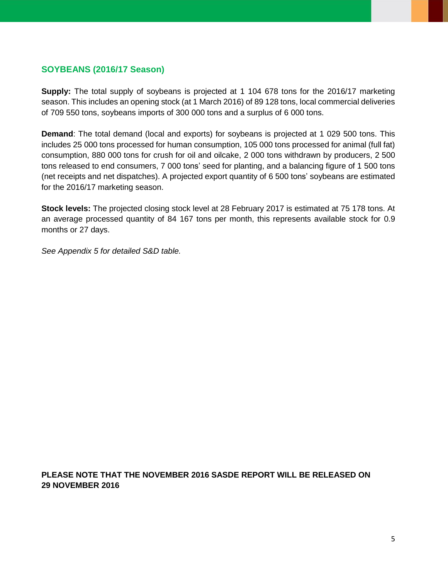#### **SOYBEANS (2016/17 Season)**

**Supply:** The total supply of soybeans is projected at 1 104 678 tons for the 2016/17 marketing season. This includes an opening stock (at 1 March 2016) of 89 128 tons, local commercial deliveries of 709 550 tons, soybeans imports of 300 000 tons and a surplus of 6 000 tons.

**Demand**: The total demand (local and exports) for soybeans is projected at 1 029 500 tons. This includes 25 000 tons processed for human consumption, 105 000 tons processed for animal (full fat) consumption, 880 000 tons for crush for oil and oilcake, 2 000 tons withdrawn by producers, 2 500 tons released to end consumers, 7 000 tons' seed for planting, and a balancing figure of 1 500 tons (net receipts and net dispatches). A projected export quantity of 6 500 tons' soybeans are estimated for the 2016/17 marketing season.

**Stock levels:** The projected closing stock level at 28 February 2017 is estimated at 75 178 tons. At an average processed quantity of 84 167 tons per month, this represents available stock for 0.9 months or 27 days.

*See Appendix 5 for detailed S&D table.*

**PLEASE NOTE THAT THE NOVEMBER 2016 SASDE REPORT WILL BE RELEASED ON 29 NOVEMBER 2016**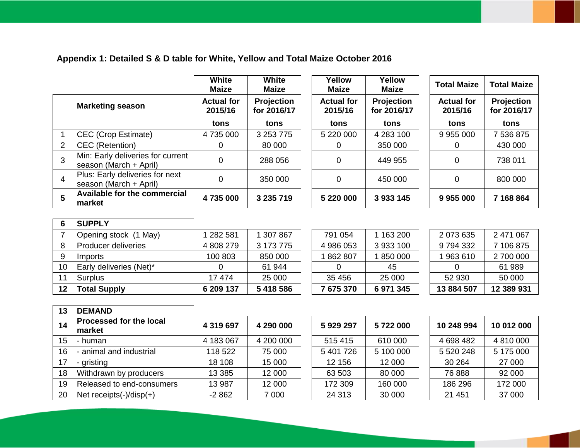## **Appendix 1: Detailed S & D table for White, Yellow and Total Maize October 2016**

|   |                                                             | White<br><b>Maize</b>        | <b>White</b><br><b>Maize</b> | Yellow<br><b>Maize</b>       | Yellow<br><b>Maize</b>    | <b>Total Maize</b>           | <b>Total Maize</b>        |
|---|-------------------------------------------------------------|------------------------------|------------------------------|------------------------------|---------------------------|------------------------------|---------------------------|
|   | <b>Marketing season</b>                                     | <b>Actual for</b><br>2015/16 | Projection<br>for 2016/17    | <b>Actual for</b><br>2015/16 | Projection<br>for 2016/17 | <b>Actual for</b><br>2015/16 | Projection<br>for 2016/17 |
|   |                                                             | tons                         | tons                         | tons                         | tons                      | tons                         | tons                      |
|   | <b>CEC</b> (Crop Estimate)                                  | 4735000                      | 3 253 775                    | 5 220 000                    | 4 283 100                 | 9 955 000                    | 7 536 875                 |
| 2 | CEC (Retention)                                             | 0                            | 80 000                       | 0                            | 350 000                   | 0                            | 430 000                   |
| 3 | Min: Early deliveries for current<br>season (March + April) | 0                            | 288 056                      | 0                            | 449 955                   | 0                            | 738 011                   |
| 4 | Plus: Early deliveries for next<br>season (March + April)   | $\overline{0}$               | 350 000                      | $\overline{0}$               | 450 000                   | 0                            | 800 000                   |
| 5 | Available for the commercial<br>market                      | 4735000                      | 3 235 719                    | 5 220 000                    | 3 933 145                 | 9955000                      | 7 168 864                 |

| 6  | <b>SUPPLY</b>           |           |           |           |           |            |            |
|----|-------------------------|-----------|-----------|-----------|-----------|------------|------------|
|    | Opening stock (1 May)   | 282 581   | 307867    | 791 054   | 1 163 200 | 2 073 635  | 2 471 067  |
| 8  | Producer deliveries     | 4 808 279 | 3 173 775 | 4 986 053 | 3 933 100 | 9 794 332  | 7 106 875  |
| 9  | Imports                 | 100 803   | 850 000   | 862 807   | 1850000   | 1963610    | 2 700 000  |
| 10 | Early deliveries (Net)* |           | 61 944    |           | 45        |            | 61 989     |
| 11 | <b>Surplus</b>          | 17 474    | 25 000    | 35 456    | 25 000    | 52 930     | 50 000     |
| 12 | <b>Total Supply</b>     | 6 209 137 | 5418586   | 7675370   | 6971345   | 13 884 507 | 12 389 931 |

| 675 370 | 6971345   |  |
|---------|-----------|--|
| 35 456  | 25 000    |  |
| ი       | 45        |  |
| 862 807 | 1850000   |  |
| 986 053 | 3933100   |  |
| 791 054 | 1 163 200 |  |
|         |           |  |

| 2 073 635  | 2 471 067  |
|------------|------------|
| 9794332    | 7 106 875  |
| 1963610    | 2 700 000  |
| O          | 61 989     |
| 52 930     | 50 000     |
| 13 884 507 | 12 389 931 |

| 13 | <b>DEMAND</b>                     |           |           |           |           |             |            |
|----|-----------------------------------|-----------|-----------|-----------|-----------|-------------|------------|
| 14 | Processed for the local<br>market | 4 319 697 | 4 290 000 | 5929297   | 5722000   | 10 248 994  | 10 012 000 |
| 15 | - human                           | 4 183 067 | 4 200 000 | 515 415   | 610 000   | 4 698 482   | 4 810 000  |
| 16 | - animal and industrial           | 118 522   | 75 000    | 5 401 726 | 5 100 000 | 5 5 20 2 48 | 5 175 000  |
| 17 | - gristing                        | 18 108    | 15 000    | 12 156    | 12 000    | 30 264      | 27 000     |
| 18 | Withdrawn by producers            | 13 3 8 5  | 12 000    | 63 503    | 80 000    | 76 888      | 92 000     |
| 19 | Released to end-consumers         | 13 987    | 12 000    | 172 309   | 160 000   | 186 296     | 172 000    |
| 20 | Net receipts $(-)/$ disp $(+)$    | $-2862$   | 7 0 0 0   | 24 313    | 30 000    | 21 451      | 37 000     |

| 5929297   | 5722000   |
|-----------|-----------|
| 515 415   | 610 000   |
| 5 401 726 | 5 100 000 |
| 12 156    | 12 000    |
| 63 503    | 80 000    |
| 172 309   | 160 000   |
| 24 313    | 30 000    |

| 10 248 994 | 10 012 000 |
|------------|------------|
| 4 698 482  | 4 810 000  |
| 5 520 248  | 5 175 000  |
| 30 264     | 27 000     |
| 76888      | 92 000     |
| 186 296    | 172 000    |
| 21 451     | 37 000     |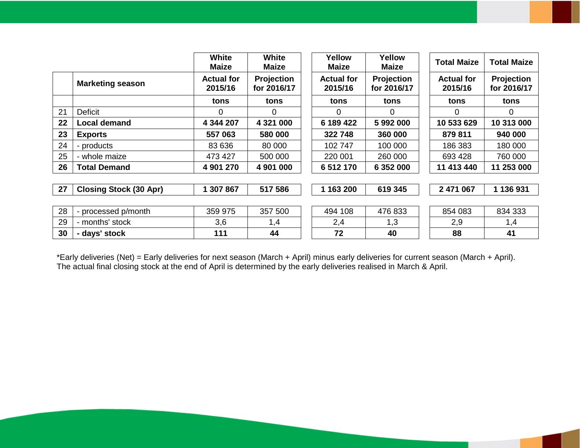|    |                               | <b>White</b><br><b>Maize</b> | <b>White</b><br><b>Maize</b>     | Yellow<br><b>Maize</b>       | Yellow<br><b>Maize</b>    | <b>Total Maize</b>           | <b>Total Maize</b>        |
|----|-------------------------------|------------------------------|----------------------------------|------------------------------|---------------------------|------------------------------|---------------------------|
|    | <b>Marketing season</b>       | <b>Actual for</b><br>2015/16 | <b>Projection</b><br>for 2016/17 | <b>Actual for</b><br>2015/16 | Projection<br>for 2016/17 | <b>Actual for</b><br>2015/16 | Projection<br>for 2016/17 |
|    |                               | tons                         | tons                             | tons                         | tons                      | tons                         | tons                      |
| 21 | <b>Deficit</b>                | 0                            | 0                                | 0                            | 0                         | 0                            | 0                         |
| 22 | <b>Local demand</b>           | 4 344 207                    | 4 321 000                        | 6 189 422                    | 5992000                   | 10 533 629                   | 10 313 000                |
| 23 | <b>Exports</b>                | 557 063                      | 580 000                          | 322 748                      | 360 000                   | 879 811                      | 940 000                   |
| 24 | - products                    | 83 636                       | 80 000                           | 102 747                      | 100 000                   | 186 383                      | 180 000                   |
| 25 | - whole maize                 | 473 427                      | 500 000                          | 220 001                      | 260 000                   | 693 428                      | 760 000                   |
| 26 | <b>Total Demand</b>           | 4 901 270                    | 4 901 000                        | 6 512 170                    | 6 352 000                 | 11 413 440                   | 11 253 000                |
|    |                               |                              |                                  |                              |                           |                              |                           |
| 27 | <b>Closing Stock (30 Apr)</b> | 1 307 867                    | 517 586                          | 1 163 200                    | 619 345                   | 2 471 067                    | 1 136 931                 |
|    |                               |                              |                                  |                              |                           |                              |                           |
| 28 | - processed p/month           | 359 975                      | 357 500                          | 494 108                      | 476 833                   | 854 083                      | 834 333                   |
| 29 | - months' stock               | 3,6                          | 1,4                              | 2,4                          | 1,3                       | 2,9                          | 1,4                       |
| 30 | - days' stock                 | 111                          | 44                               | 72                           | 40                        | 88                           | 41                        |

\*Early deliveries (Net) = Early deliveries for next season (March + April) minus early deliveries for current season (March + April). The actual final closing stock at the end of April is determined by the early deliveries realised in March & April.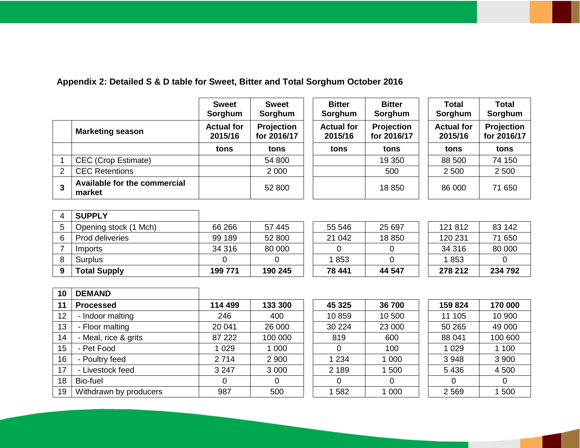### **Appendix 2: Detailed S & D table for Sweet, Bitter and Total Sorghum October 2016**

|   |                                        | <b>Sweet</b><br>Sorghum      | <b>Sweet</b><br>Sorghum          | <b>Bitter</b><br>Sorghum     | <b>Bitter</b><br>Sorghum  | Total<br>Sorghum             | <b>Total</b><br>Sorghum   |
|---|----------------------------------------|------------------------------|----------------------------------|------------------------------|---------------------------|------------------------------|---------------------------|
|   | <b>Marketing season</b>                | <b>Actual for</b><br>2015/16 | <b>Projection</b><br>for 2016/17 | <b>Actual for</b><br>2015/16 | Projection<br>for 2016/17 | <b>Actual for</b><br>2015/16 | Projection<br>for 2016/17 |
|   |                                        | tons                         | tons                             | tons                         | tons                      | tons                         | tons                      |
|   | <b>CEC</b> (Crop Estimate)             |                              | 54 800                           |                              | 19 350                    | 88 500                       | 74 150                    |
| 2 | <b>CEC Retentions</b>                  |                              | 2 0 0 0                          |                              | 500                       | 2 500                        | 2 500                     |
| 3 | Available for the commercial<br>market |                              | 52 800                           |                              | 18 850                    | 86 000                       | 71 650                    |

| <b>SUPPLY</b>          |         |         |        |        |         |         |
|------------------------|---------|---------|--------|--------|---------|---------|
| Opening stock (1 Mch)  | 66 266  | 57 445  | 55 546 | 25 697 | 121 812 | 83 142  |
| <b>Prod deliveries</b> | 99 189  | 52 800  | 21 042 | 18 850 | 120 231 | 71 650  |
| Imports                | 34 316  | 80 000  |        |        | 34 316  | 80 000  |
| Surplus                |         |         | 1853   |        | 1853    |         |
| <b>Total Supply</b>    | 199 771 | 190 245 | 78 441 | 44 547 | 278 212 | 234 792 |

| 10 | <b>DEMAND</b>          |         |         |         |        |         |         |
|----|------------------------|---------|---------|---------|--------|---------|---------|
| 11 | <b>Processed</b>       | 114 499 | 133 300 | 45 325  | 36 700 | 159 824 | 170 000 |
| 12 | - Indoor malting       | 246     | 400     | 10859   | 10 500 | 11 105  | 10 900  |
| 13 | - Floor malting        | 20 041  | 26 000  | 30 224  | 23 000 | 50 265  | 49 000  |
| 14 | - Meal, rice & grits   | 87 222  | 100 000 | 819     | 600    | 88 041  | 100 600 |
| 15 | - Pet Food             | 1 0 2 9 | 1 0 0 0 | 0       | 100    | 1 0 2 9 | 1 100   |
| 16 | - Poultry feed         | 2714    | 2 9 0 0 | 1 2 3 4 | 1 000  | 3 9 4 8 | 3 9 0 0 |
| 17 | - Livestock feed       | 3 2 4 7 | 3 0 0 0 | 2 1 8 9 | 500    | 5 4 3 6 | 4 5 0 0 |
| 18 | Bio-fuel               | 0       | 0       | 0       | 0      |         | 0       |
| 19 | Withdrawn by producers | 987     | 500     | 1582    | 1 000  | 2 5 6 9 | 500     |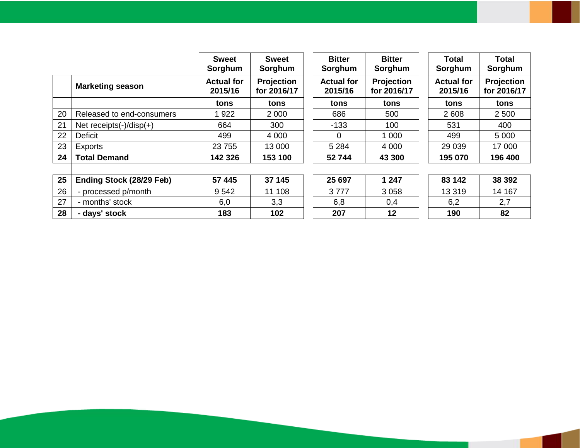|    |                                | <b>Sweet</b><br>Sorghum      | <b>Sweet</b><br>Sorghum   | <b>Bitter</b><br>Sorghum     | <b>Bitter</b><br>Sorghum  | Total<br>Sorghum             | Total<br>Sorghum          |
|----|--------------------------------|------------------------------|---------------------------|------------------------------|---------------------------|------------------------------|---------------------------|
|    | <b>Marketing season</b>        | <b>Actual for</b><br>2015/16 | Projection<br>for 2016/17 | <b>Actual for</b><br>2015/16 | Projection<br>for 2016/17 | <b>Actual for</b><br>2015/16 | Projection<br>for 2016/17 |
|    |                                | tons                         | tons                      | tons                         | tons                      | tons                         | tons                      |
| 20 | Released to end-consumers      | 1922                         | 2 0 0 0                   | 686                          | 500                       | 2 6 0 8                      | 2 500                     |
| 21 | Net receipts $(-)/$ disp $(+)$ | 664                          | 300                       | $-133$                       | 100                       | 531                          | 400                       |
| 22 | <b>Deficit</b>                 | 499                          | 4 0 0 0                   | $\overline{0}$               | 1 0 0 0                   | 499                          | 5 0 0 0                   |
| 23 | Exports                        | 23 755                       | 13 000                    | 5 2 8 4                      | 4 0 0 0                   | 29 0 39                      | 17 000                    |
| 24 | <b>Total Demand</b>            | 142 326                      | 153 100                   | 52 744                       | 43 300                    | 195 070                      | 196 400                   |
|    |                                |                              |                           |                              |                           |                              |                           |
| 25 | Ending Stock (28/29 Feb)       | 57 445                       | 37 145                    | 25 697                       | 1 247                     | 83 142                       | 38 392                    |
| 26 | - processed p/month            | 9 5 4 2                      | 11 108                    | 3777                         | 3 0 5 8                   | 13 3 19                      | 14 167                    |
| 27 | - months' stock                | 6,0                          | 3,3                       | 6,8                          | 0,4                       | 6,2                          | 2,7                       |
| 28 | - days' stock                  | 183                          | 102                       | 207                          | 12                        | 190                          | 82                        |
|    |                                |                              |                           |                              |                           |                              |                           |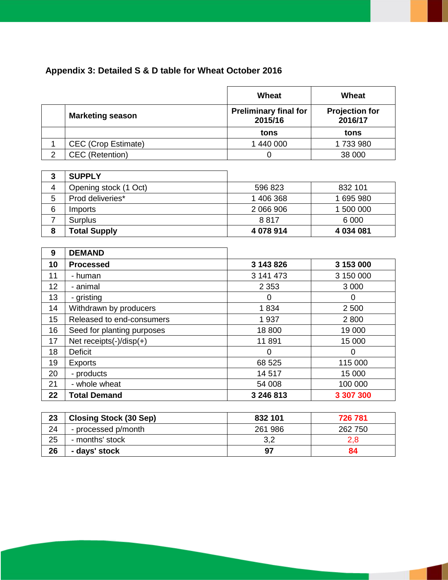### **Appendix 3: Detailed S & D table for Wheat October 2016**

|                |                                                         | Wheat                                                                            | <b>Wheat</b>                                                          |
|----------------|---------------------------------------------------------|----------------------------------------------------------------------------------|-----------------------------------------------------------------------|
|                | <b>Marketing season</b>                                 | <b>Preliminary final for</b><br>2015/16                                          | <b>Projection for</b><br>2016/17                                      |
|                |                                                         | tons                                                                             | tons                                                                  |
| $\mathbf{1}$   | <b>CEC</b> (Crop Estimate)                              | 1 440 000                                                                        | 1733980                                                               |
| $\overline{2}$ | <b>CEC</b> (Retention)                                  | $\mathbf 0$                                                                      | 38 000                                                                |
| 3              | <b>SUPPLY</b>                                           |                                                                                  |                                                                       |
| $\overline{4}$ | Opening stock (1 Oct)                                   | 596 823                                                                          | 832 101                                                               |
| 5              | Prod deliveries*                                        | 1 406 368                                                                        | 1695980                                                               |
| 6              | Imports                                                 | 2 066 906                                                                        | 1 500 000                                                             |
| $\overline{7}$ | <b>Surplus</b>                                          | 8817                                                                             | 6 0 0 0                                                               |
| 8              | <b>Total Supply</b>                                     | 4 078 914                                                                        | 4 034 081                                                             |
|                |                                                         |                                                                                  |                                                                       |
| 9              | <b>DEMAND</b>                                           |                                                                                  |                                                                       |
| 10             | <b>Processed</b>                                        | 3 143 826                                                                        | 3 153 000                                                             |
| 11             | - human                                                 | 3 141 473                                                                        | 3 150 000                                                             |
| 12             | - animal                                                | 2 3 5 3                                                                          | 3 0 0 0                                                               |
| 13             | - gristing                                              | $\Omega$                                                                         | $\overline{0}$                                                        |
| 14             | Withdrawn by producers                                  | 1834                                                                             | 2 500                                                                 |
| 15             | Released to end-consumers                               | 1937                                                                             | 2800                                                                  |
| 16             | Seed for planting purposes                              | 18 800                                                                           | 19 000                                                                |
| 17             | Net receipts $(-)/$ disp $(+)$                          | 11891                                                                            | 15 000                                                                |
| 18             | <b>Deficit</b>                                          | 0                                                                                | $\overline{0}$                                                        |
| 19             | <b>Exports</b>                                          | 68 525                                                                           | 115 000                                                               |
| 20             | - products                                              | 14517                                                                            | 15 000                                                                |
| 21             | - whole wheat                                           | 54 008                                                                           | 100 000                                                               |
| 22             | <b>Total Demand</b>                                     | 3 246 813                                                                        | 3 307 300                                                             |
|                | $\sim$ $\sim$ $\sim$ $\sim$ $\sim$ $\sim$ $\sim$ $\sim$ | $\begin{array}{c} \n\bullet \bullet \bullet \bullet \bullet \bullet \end{array}$ | $\rightarrow$ $\rightarrow$ $\rightarrow$ $\rightarrow$ $\rightarrow$ |

| 23 | <b>Closing Stock (30 Sep)</b> | 832 101 | 726 781 |
|----|-------------------------------|---------|---------|
| 24 | - processed p/month           | 261 986 | 262 750 |
| 25 | - months' stock               | 3,2     |         |
| 26 | - days' stock                 | 97      | 84      |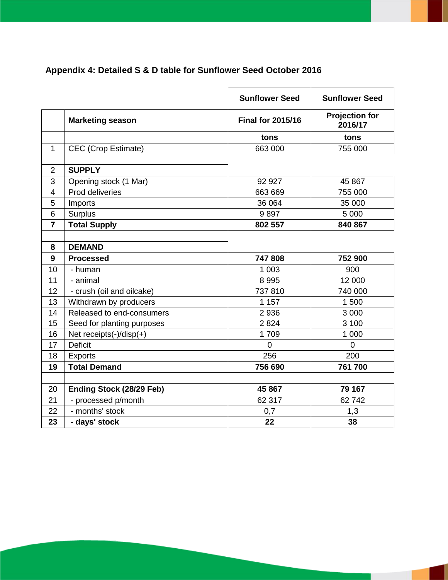### **Appendix 4: Detailed S & D table for Sunflower Seed October 2016**

|                |                                | <b>Sunflower Seed</b>    | <b>Sunflower Seed</b>            |
|----------------|--------------------------------|--------------------------|----------------------------------|
|                | <b>Marketing season</b>        | <b>Final for 2015/16</b> | <b>Projection for</b><br>2016/17 |
|                |                                | tons                     | tons                             |
| 1              | <b>CEC</b> (Crop Estimate)     | 663 000                  | 755 000                          |
|                |                                |                          |                                  |
| $\overline{2}$ | <b>SUPPLY</b>                  |                          |                                  |
| 3              | Opening stock (1 Mar)          | 92 927                   | 45 867                           |
| $\overline{4}$ | Prod deliveries                | 663 669                  | 755 000                          |
| 5              | Imports                        | 36 064                   | 35 000                           |
| 6              | <b>Surplus</b>                 | 9897                     | 5 0 0 0                          |
| $\overline{7}$ | <b>Total Supply</b>            | 802 557                  | 840 867                          |
|                |                                |                          |                                  |
| 8              | <b>DEMAND</b>                  |                          |                                  |
| 9              | <b>Processed</b>               | 747808                   | 752 900                          |
| 10             | - human                        | 1 0 0 3                  | 900                              |
| 11             | - animal                       | 8 9 9 5                  | 12 000                           |
| 12             | - crush (oil and oilcake)      | 737810                   | 740 000                          |
| 13             | Withdrawn by producers         | 1 1 5 7                  | 1 500                            |
| 14             | Released to end-consumers      | 2936                     | 3 0 0 0                          |
| 15             | Seed for planting purposes     | 2824                     | 3 100                            |
| 16             | Net receipts $(-)/$ disp $(+)$ | 1709                     | 1 000                            |
| 17             | <b>Deficit</b>                 | $\Omega$                 | $\overline{0}$                   |
| 18             | <b>Exports</b>                 | 256                      | 200                              |
| 19             | <b>Total Demand</b>            | 756 690                  | 761 700                          |
|                |                                |                          |                                  |
| 20             | Ending Stock (28/29 Feb)       | 45 867                   | 79 167                           |
| 21             | - processed p/month            | 62 317                   | 62742                            |
| 22             | - months' stock                | 0,7                      | 1,3                              |
| 23             | - days' stock                  | 22                       | 38                               |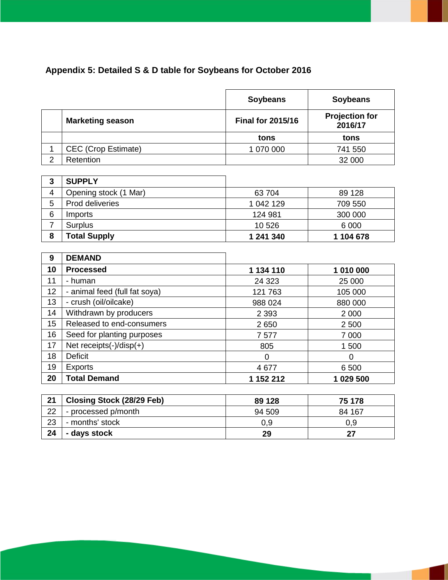### **Appendix 5: Detailed S & D table for Soybeans for October 2016**

|                |                               | <b>Soybeans</b>          | <b>Soybeans</b>                  |
|----------------|-------------------------------|--------------------------|----------------------------------|
|                | <b>Marketing season</b>       | <b>Final for 2015/16</b> | <b>Projection for</b><br>2016/17 |
|                |                               | tons                     | tons                             |
| 1              | <b>CEC (Crop Estimate)</b>    | 1 070 000                | 741 550                          |
| $\overline{2}$ | Retention                     |                          | 32 000                           |
|                |                               |                          |                                  |
| 3              | <b>SUPPLY</b>                 |                          |                                  |
| 4              | Opening stock (1 Mar)         | 63 704                   | 89 128                           |
| 5              | Prod deliveries               | 1 042 129                | 709 550                          |
| 6              | Imports                       | 124 981                  | 300 000                          |
| $\overline{7}$ | Surplus                       | 10 526                   | 6 0 0 0                          |
| 8              | <b>Total Supply</b>           | 1 241 340                | 1 104 678                        |
|                |                               |                          |                                  |
| 9              | <b>DEMAND</b>                 |                          |                                  |
| 10             | <b>Processed</b>              | 1 134 110                | 1 010 000                        |
| 11             | - human                       | 24 3 23                  | 25 000                           |
| 12             | - animal feed (full fat soya) | 121 763                  | 105 000                          |
| 13             | - crush (oil/oilcake)         | 988 024                  | 880 000                          |
| 14             | Withdrawn by producers        | 2 3 9 3                  | 2 0 0 0                          |
| 15             | Released to end-consumers     | 2650                     | 2500                             |
| 16             | Seed for planting purposes    | 7577                     | 7 0 0 0                          |
| 17             | Net receipts(-)/disp(+)       | 805                      | 1500                             |
| 18             | <b>Deficit</b>                | $\overline{0}$           | $\overline{0}$                   |
| 19             | <b>Exports</b>                | 4 6 7 7                  | 6 500                            |
| 20             | <b>Total Demand</b>           | 1 152 212                | 1 029 500                        |

| 21 | <b>Closing Stock (28/29 Feb)</b> | 89 128 | 75 178 |
|----|----------------------------------|--------|--------|
| 22 | - processed p/month              | 94 509 | 84 167 |
| 23 | - months' stock                  | 0.9    | ა.9    |
| 24 | - days stock                     | 29     |        |